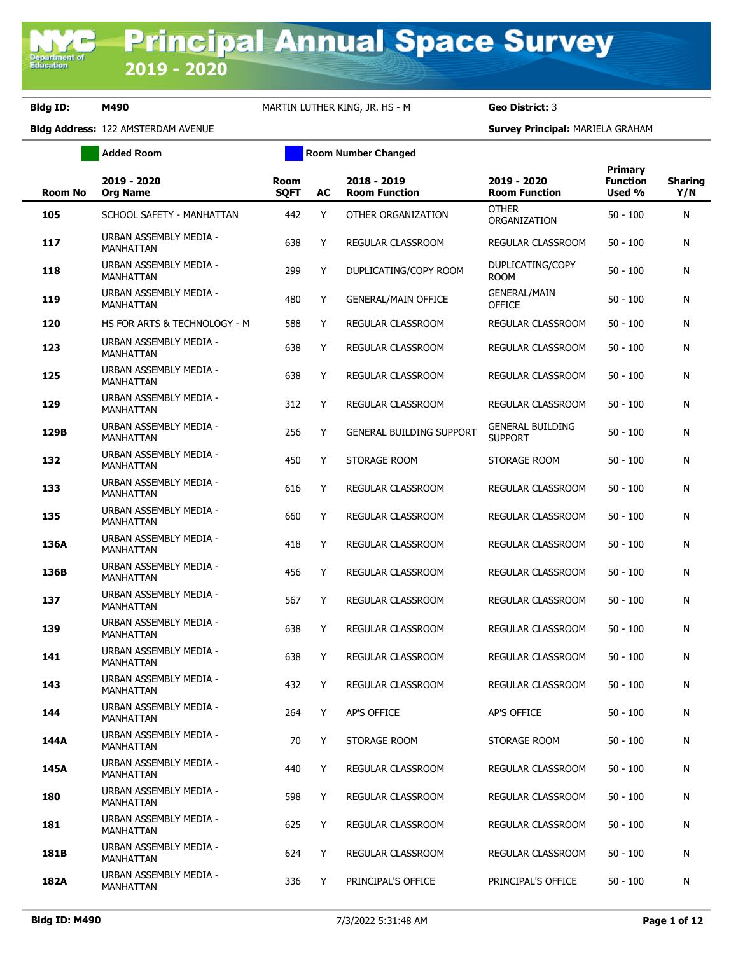**Added Room Room Room Number Changed** 

|                |                                            |                     |    |                                     |                                           | Primary                   |                       |
|----------------|--------------------------------------------|---------------------|----|-------------------------------------|-------------------------------------------|---------------------------|-----------------------|
| <b>Room No</b> | 2019 - 2020<br><b>Org Name</b>             | Room<br><b>SOFT</b> | AC | 2018 - 2019<br><b>Room Function</b> | 2019 - 2020<br><b>Room Function</b>       | <b>Function</b><br>Used % | <b>Sharing</b><br>Y/N |
| 105            | SCHOOL SAFETY - MANHATTAN                  | 442                 | Y  | OTHER ORGANIZATION                  | <b>OTHER</b><br>ORGANIZATION              | $50 - 100$                | N                     |
| 117            | URBAN ASSEMBLY MEDIA -<br><b>MANHATTAN</b> | 638                 | Y  | REGULAR CLASSROOM                   | REGULAR CLASSROOM                         | $50 - 100$                | N                     |
| 118            | URBAN ASSEMBLY MEDIA -<br><b>MANHATTAN</b> | 299                 | Y  | DUPLICATING/COPY ROOM               | DUPLICATING/COPY<br><b>ROOM</b>           | $50 - 100$                | N                     |
| 119            | URBAN ASSEMBLY MEDIA -<br><b>MANHATTAN</b> | 480                 | Y  | <b>GENERAL/MAIN OFFICE</b>          | <b>GENERAL/MAIN</b><br><b>OFFICE</b>      | $50 - 100$                | N                     |
| 120            | HS FOR ARTS & TECHNOLOGY - M               | 588                 | Y  | <b>REGULAR CLASSROOM</b>            | REGULAR CLASSROOM                         | $50 - 100$                | N                     |
| 123            | URBAN ASSEMBLY MEDIA -<br><b>MANHATTAN</b> | 638                 | Y  | REGULAR CLASSROOM                   | REGULAR CLASSROOM                         | $50 - 100$                | N                     |
| 125            | URBAN ASSEMBLY MEDIA -<br><b>MANHATTAN</b> | 638                 | Y  | REGULAR CLASSROOM                   | REGULAR CLASSROOM                         | $50 - 100$                | N                     |
| 129            | URBAN ASSEMBLY MEDIA -<br>MANHATTAN        | 312                 | Y  | REGULAR CLASSROOM                   | REGULAR CLASSROOM                         | $50 - 100$                | N                     |
| 129B           | URBAN ASSEMBLY MEDIA -<br><b>MANHATTAN</b> | 256                 | Y  | <b>GENERAL BUILDING SUPPORT</b>     | <b>GENERAL BUILDING</b><br><b>SUPPORT</b> | $50 - 100$                | N                     |
| 132            | URBAN ASSEMBLY MEDIA -<br><b>MANHATTAN</b> | 450                 | Y  | STORAGE ROOM                        | STORAGE ROOM                              | $50 - 100$                | N                     |
| 133            | URBAN ASSEMBLY MEDIA -<br><b>MANHATTAN</b> | 616                 | Y  | REGULAR CLASSROOM                   | REGULAR CLASSROOM                         | $50 - 100$                | N                     |
| 135            | URBAN ASSEMBLY MEDIA -<br><b>MANHATTAN</b> | 660                 | Y  | REGULAR CLASSROOM                   | REGULAR CLASSROOM                         | $50 - 100$                | N                     |
| 136A           | URBAN ASSEMBLY MEDIA -<br><b>MANHATTAN</b> | 418                 | Y  | REGULAR CLASSROOM                   | REGULAR CLASSROOM                         | $50 - 100$                | N                     |
| 136B           | URBAN ASSEMBLY MEDIA -<br>MANHATTAN        | 456                 | Y  | REGULAR CLASSROOM                   | REGULAR CLASSROOM                         | $50 - 100$                | N                     |
| 137            | URBAN ASSEMBLY MEDIA -<br><b>MANHATTAN</b> | 567                 | Y  | REGULAR CLASSROOM                   | REGULAR CLASSROOM                         | $50 - 100$                | N                     |
| 139            | URBAN ASSEMBLY MEDIA -<br>MANHATTAN        | 638                 | Y  | REGULAR CLASSROOM                   | REGULAR CLASSROOM                         | $50 - 100$                | N                     |
| 141            | URBAN ASSEMBLY MEDIA -<br>MANHATTAN        | 638                 | Y  | REGULAR CLASSROOM                   | REGULAR CLASSROOM                         | $50 - 100$                | N                     |
| 143            | URBAN ASSEMBLY MEDIA -<br><b>MANHATTAN</b> | 432                 | Y  | <b>REGULAR CLASSROOM</b>            | REGULAR CLASSROOM                         | $50 - 100$                | N                     |
| 144            | URBAN ASSEMBLY MEDIA -<br>MANHATTAN        | 264                 | Y  | <b>AP'S OFFICE</b>                  | AP'S OFFICE                               | $50 - 100$                | N                     |
| 144A           | URBAN ASSEMBLY MEDIA -<br><b>MANHATTAN</b> | 70                  | Y  | STORAGE ROOM                        | STORAGE ROOM                              | $50 - 100$                | N                     |
| 145A           | URBAN ASSEMBLY MEDIA -<br>MANHATTAN        | 440                 | Y  | REGULAR CLASSROOM                   | REGULAR CLASSROOM                         | $50 - 100$                | N                     |
| 180            | URBAN ASSEMBLY MEDIA -<br>MANHATTAN        | 598                 | Y  | REGULAR CLASSROOM                   | REGULAR CLASSROOM                         | $50 - 100$                | N                     |
| 181            | URBAN ASSEMBLY MEDIA -<br>MANHATTAN        | 625                 | Y  | REGULAR CLASSROOM                   | REGULAR CLASSROOM                         | $50 - 100$                | N                     |
| 181B           | URBAN ASSEMBLY MEDIA -<br>MANHATTAN        | 624                 | Y  | REGULAR CLASSROOM                   | REGULAR CLASSROOM                         | 50 - 100                  | N                     |
| 182A           | URBAN ASSEMBLY MEDIA -<br>MANHATTAN        | 336                 | Y  | PRINCIPAL'S OFFICE                  | PRINCIPAL'S OFFICE                        | $50 - 100$                | N                     |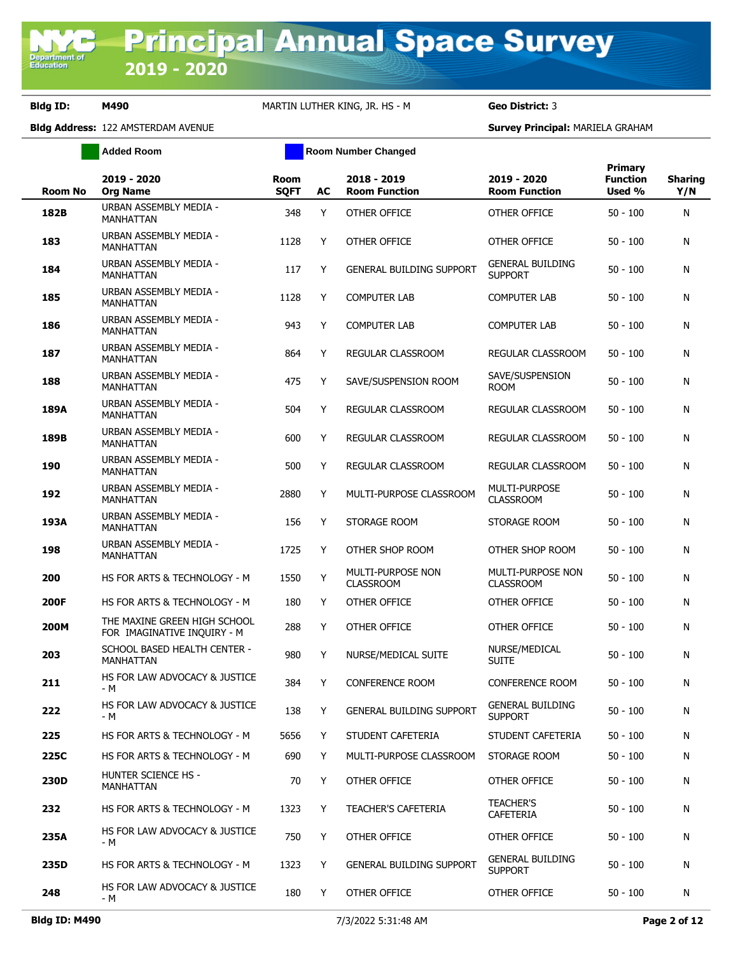**Added Room Room Room Number Changed** 

| <b>Room No</b> | 2019 - 2020<br><b>Org Name</b>                              | <b>Room</b><br><b>SQFT</b> | AC | 2018 - 2019<br><b>Room Function</b>   | 2019 - 2020<br><b>Room Function</b>       | <b>Primary</b><br><b>Function</b><br>Used % | <b>Sharing</b><br>Y/N |
|----------------|-------------------------------------------------------------|----------------------------|----|---------------------------------------|-------------------------------------------|---------------------------------------------|-----------------------|
| 182B           | URBAN ASSEMBLY MEDIA -<br><b>MANHATTAN</b>                  | 348                        | Y  | OTHER OFFICE                          | OTHER OFFICE                              | $50 - 100$                                  | N                     |
| 183            | URBAN ASSEMBLY MEDIA -<br>MANHATTAN                         | 1128                       | Y  | OTHER OFFICE                          | <b>OTHER OFFICE</b>                       | $50 - 100$                                  | N                     |
| 184            | URBAN ASSEMBLY MEDIA -<br>MANHATTAN                         | 117                        | Y  | <b>GENERAL BUILDING SUPPORT</b>       | <b>GENERAL BUILDING</b><br><b>SUPPORT</b> | $50 - 100$                                  | N                     |
| 185            | URBAN ASSEMBLY MEDIA -<br>MANHATTAN                         | 1128                       | Y  | <b>COMPUTER LAB</b>                   | COMPUTER LAB                              | $50 - 100$                                  | N                     |
| 186            | URBAN ASSEMBLY MEDIA -<br><b>MANHATTAN</b>                  | 943                        | Y  | <b>COMPUTER LAB</b>                   | COMPUTER LAB                              | $50 - 100$                                  | N                     |
| 187            | URBAN ASSEMBLY MEDIA -<br>MANHATTAN                         | 864                        | Y  | REGULAR CLASSROOM                     | REGULAR CLASSROOM                         | $50 - 100$                                  | N                     |
| 188            | URBAN ASSEMBLY MEDIA -<br>MANHATTAN                         | 475                        | Y  | SAVE/SUSPENSION ROOM                  | SAVE/SUSPENSION<br><b>ROOM</b>            | $50 - 100$                                  | N                     |
| 189A           | URBAN ASSEMBLY MEDIA -<br>MANHATTAN                         | 504                        | Y  | REGULAR CLASSROOM                     | REGULAR CLASSROOM                         | $50 - 100$                                  | N                     |
| 189B           | URBAN ASSEMBLY MEDIA -<br>MANHATTAN                         | 600                        | Y  | REGULAR CLASSROOM                     | REGULAR CLASSROOM                         | $50 - 100$                                  | N                     |
| 190            | URBAN ASSEMBLY MEDIA -<br><b>MANHATTAN</b>                  | 500                        | Y  | REGULAR CLASSROOM                     | REGULAR CLASSROOM                         | $50 - 100$                                  | N                     |
| 192            | URBAN ASSEMBLY MEDIA -<br>MANHATTAN                         | 2880                       | Y  | MULTI-PURPOSE CLASSROOM               | MULTI-PURPOSE<br><b>CLASSROOM</b>         | $50 - 100$                                  | N                     |
| 193A           | URBAN ASSEMBLY MEDIA -<br><b>MANHATTAN</b>                  | 156                        | Y  | STORAGE ROOM                          | STORAGE ROOM                              | $50 - 100$                                  | N                     |
| 198            | URBAN ASSEMBLY MEDIA -<br>MANHATTAN                         | 1725                       | Y  | OTHER SHOP ROOM                       | OTHER SHOP ROOM                           | $50 - 100$                                  | N                     |
| 200            | HS FOR ARTS & TECHNOLOGY - M                                | 1550                       | Y  | MULTI-PURPOSE NON<br><b>CLASSROOM</b> | MULTI-PURPOSE NON<br><b>CLASSROOM</b>     | $50 - 100$                                  | N                     |
| 200F           | HS FOR ARTS & TECHNOLOGY - M                                | 180                        | Y  | OTHER OFFICE                          | OTHER OFFICE                              | $50 - 100$                                  | N                     |
| 200M           | THE MAXINE GREEN HIGH SCHOOL<br>FOR IMAGINATIVE INQUIRY - M | 288                        | Y  | OTHER OFFICE                          | OTHER OFFICE                              | $50 - 100$                                  | N                     |
| 203            | SCHOOL BASED HEALTH CENTER -<br><b>MANHATTAN</b>            | 980                        | Y  | NURSE/MEDICAL SUITE                   | NURSE/MEDICAL<br><b>SUITE</b>             | $50 - 100$                                  | N                     |
| 211            | HS FOR LAW ADVOCACY & JUSTICE<br>- M                        | 384                        | Y  | <b>CONFERENCE ROOM</b>                | <b>CONFERENCE ROOM</b>                    | $50 - 100$                                  | N                     |
| 222            | HS FOR LAW ADVOCACY & JUSTICE<br>- M                        | 138                        | Y  | <b>GENERAL BUILDING SUPPORT</b>       | <b>GENERAL BUILDING</b><br><b>SUPPORT</b> | $50 - 100$                                  | N                     |
| 225            | HS FOR ARTS & TECHNOLOGY - M                                | 5656                       | Y  | STUDENT CAFETERIA                     | STUDENT CAFETERIA                         | $50 - 100$                                  | N                     |
| 225C           | HS FOR ARTS & TECHNOLOGY - M                                | 690                        | Y  | MULTI-PURPOSE CLASSROOM               | STORAGE ROOM                              | $50 - 100$                                  | N                     |
| 230D           | HUNTER SCIENCE HS -<br>MANHATTAN                            | 70                         | Y  | OTHER OFFICE                          | OTHER OFFICE                              | $50 - 100$                                  | N                     |
| 232            | HS FOR ARTS & TECHNOLOGY - M                                | 1323                       | Y  | <b>TEACHER'S CAFETERIA</b>            | <b>TEACHER'S</b><br>CAFETERIA             | $50 - 100$                                  | N                     |
| 235A           | HS FOR LAW ADVOCACY & JUSTICE<br>- M                        | 750                        | Y  | OTHER OFFICE                          | OTHER OFFICE                              | $50 - 100$                                  | N                     |
| 235D           | HS FOR ARTS & TECHNOLOGY - M                                | 1323                       | Y  | <b>GENERAL BUILDING SUPPORT</b>       | <b>GENERAL BUILDING</b><br><b>SUPPORT</b> | $50 - 100$                                  | N                     |
| 248            | HS FOR LAW ADVOCACY & JUSTICE<br>- M                        | 180                        | Y  | OTHER OFFICE                          | OTHER OFFICE                              | $50 - 100$                                  | N                     |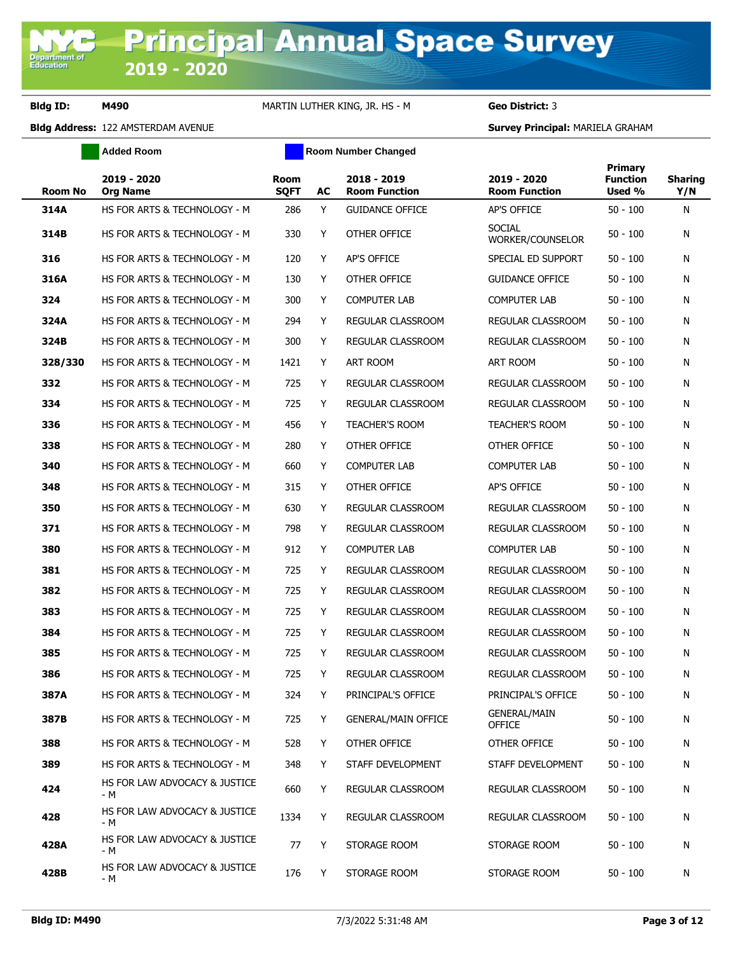**Added Room Room Room Number Changed** 

| <b>Room No</b> | 2019 - 2020<br>Org Name              | <b>Room</b><br><b>SQFT</b> | <b>AC</b> | 2018 - 2019<br><b>Room Function</b> | 2019 - 2020<br><b>Room Function</b>  | Primary<br><b>Function</b><br>Used % | <b>Sharing</b><br>Y/N |
|----------------|--------------------------------------|----------------------------|-----------|-------------------------------------|--------------------------------------|--------------------------------------|-----------------------|
| 314A           | HS FOR ARTS & TECHNOLOGY - M         | 286                        | Y         | <b>GUIDANCE OFFICE</b>              | AP'S OFFICE                          | $50 - 100$                           | N                     |
| 314B           | HS FOR ARTS & TECHNOLOGY - M         | 330                        | Y         | OTHER OFFICE                        | <b>SOCIAL</b><br>WORKER/COUNSELOR    | $50 - 100$                           | N                     |
| 316            | HS FOR ARTS & TECHNOLOGY - M         | 120                        | Y         | AP'S OFFICE                         | SPECIAL ED SUPPORT                   | $50 - 100$                           | N                     |
| 316A           | HS FOR ARTS & TECHNOLOGY - M         | 130                        | Y         | OTHER OFFICE                        | <b>GUIDANCE OFFICE</b>               | $50 - 100$                           | N                     |
| 324            | HS FOR ARTS & TECHNOLOGY - M         | 300                        | Y         | <b>COMPUTER LAB</b>                 | <b>COMPUTER LAB</b>                  | $50 - 100$                           | Ν                     |
| 324A           | HS FOR ARTS & TECHNOLOGY - M         | 294                        | Y         | REGULAR CLASSROOM                   | REGULAR CLASSROOM                    | $50 - 100$                           | N                     |
| 324B           | HS FOR ARTS & TECHNOLOGY - M         | 300                        | Y         | REGULAR CLASSROOM                   | REGULAR CLASSROOM                    | $50 - 100$                           | N                     |
| 328/330        | HS FOR ARTS & TECHNOLOGY - M         | 1421                       | Y         | ART ROOM                            | ART ROOM                             | $50 - 100$                           | N                     |
| 332            | HS FOR ARTS & TECHNOLOGY - M         | 725                        | Y         | REGULAR CLASSROOM                   | REGULAR CLASSROOM                    | $50 - 100$                           | N                     |
| 334            | HS FOR ARTS & TECHNOLOGY - M         | 725                        | Y         | REGULAR CLASSROOM                   | REGULAR CLASSROOM                    | $50 - 100$                           | N                     |
| 336            | HS FOR ARTS & TECHNOLOGY - M         | 456                        | Y         | <b>TEACHER'S ROOM</b>               | <b>TEACHER'S ROOM</b>                | $50 - 100$                           | N                     |
| 338            | HS FOR ARTS & TECHNOLOGY - M         | 280                        | Y         | OTHER OFFICE                        | OTHER OFFICE                         | $50 - 100$                           | N                     |
| 340            | HS FOR ARTS & TECHNOLOGY - M         | 660                        | Y         | <b>COMPUTER LAB</b>                 | <b>COMPUTER LAB</b>                  | $50 - 100$                           | N                     |
| 348            | HS FOR ARTS & TECHNOLOGY - M         | 315                        | Y         | OTHER OFFICE                        | AP'S OFFICE                          | $50 - 100$                           | N                     |
| 350            | HS FOR ARTS & TECHNOLOGY - M         | 630                        | Y         | <b>REGULAR CLASSROOM</b>            | REGULAR CLASSROOM                    | $50 - 100$                           | N                     |
| 371            | HS FOR ARTS & TECHNOLOGY - M         | 798                        | Y         | REGULAR CLASSROOM                   | REGULAR CLASSROOM                    | $50 - 100$                           | N                     |
| 380            | HS FOR ARTS & TECHNOLOGY - M         | 912                        | Y         | <b>COMPUTER LAB</b>                 | <b>COMPUTER LAB</b>                  | $50 - 100$                           | N                     |
| 381            | HS FOR ARTS & TECHNOLOGY - M         | 725                        | Y         | REGULAR CLASSROOM                   | REGULAR CLASSROOM                    | $50 - 100$                           | N                     |
| 382            | HS FOR ARTS & TECHNOLOGY - M         | 725                        | Y         | REGULAR CLASSROOM                   | REGULAR CLASSROOM                    | $50 - 100$                           | N                     |
| 383            | HS FOR ARTS & TECHNOLOGY - M         | 725                        | Y         | REGULAR CLASSROOM                   | REGULAR CLASSROOM                    | $50 - 100$                           | N                     |
| 384            | HS FOR ARTS & TECHNOLOGY - M         | 725                        | Y         | REGULAR CLASSROOM                   | REGULAR CLASSROOM                    | $50 - 100$                           | N                     |
| 385            | HS FOR ARTS & TECHNOLOGY - M         | 725                        | Υ         | REGULAR CLASSROOM                   | REGULAR CLASSROOM                    | $50 - 100$                           | N                     |
| 386            | HS FOR ARTS & TECHNOLOGY - M         | 725                        | Y         | REGULAR CLASSROOM                   | REGULAR CLASSROOM                    | $50 - 100$                           | N                     |
| 387A           | HS FOR ARTS & TECHNOLOGY - M         | 324                        | Y         | PRINCIPAL'S OFFICE                  | PRINCIPAL'S OFFICE                   | $50 - 100$                           | N                     |
| 387B           | HS FOR ARTS & TECHNOLOGY - M         | 725                        | Y         | <b>GENERAL/MAIN OFFICE</b>          | <b>GENERAL/MAIN</b><br><b>OFFICE</b> | $50 - 100$                           | N                     |
| 388            | HS FOR ARTS & TECHNOLOGY - M         | 528                        | Y         | OTHER OFFICE                        | OTHER OFFICE                         | $50 - 100$                           | N                     |
| 389            | HS FOR ARTS & TECHNOLOGY - M         | 348                        | Y         | STAFF DEVELOPMENT                   | STAFF DEVELOPMENT                    | $50 - 100$                           | N                     |
| 424            | HS FOR LAW ADVOCACY & JUSTICE<br>- M | 660                        | Y         | REGULAR CLASSROOM                   | REGULAR CLASSROOM                    | $50 - 100$                           | N                     |
| 428            | HS FOR LAW ADVOCACY & JUSTICE<br>- M | 1334                       | Y         | REGULAR CLASSROOM                   | REGULAR CLASSROOM                    | $50 - 100$                           | N                     |
| 428A           | HS FOR LAW ADVOCACY & JUSTICE<br>- M | 77                         | Y         | STORAGE ROOM                        | STORAGE ROOM                         | $50 - 100$                           | N                     |
| 428B           | HS FOR LAW ADVOCACY & JUSTICE<br>- M | 176                        | Υ         | STORAGE ROOM                        | STORAGE ROOM                         | $50 - 100$                           | N                     |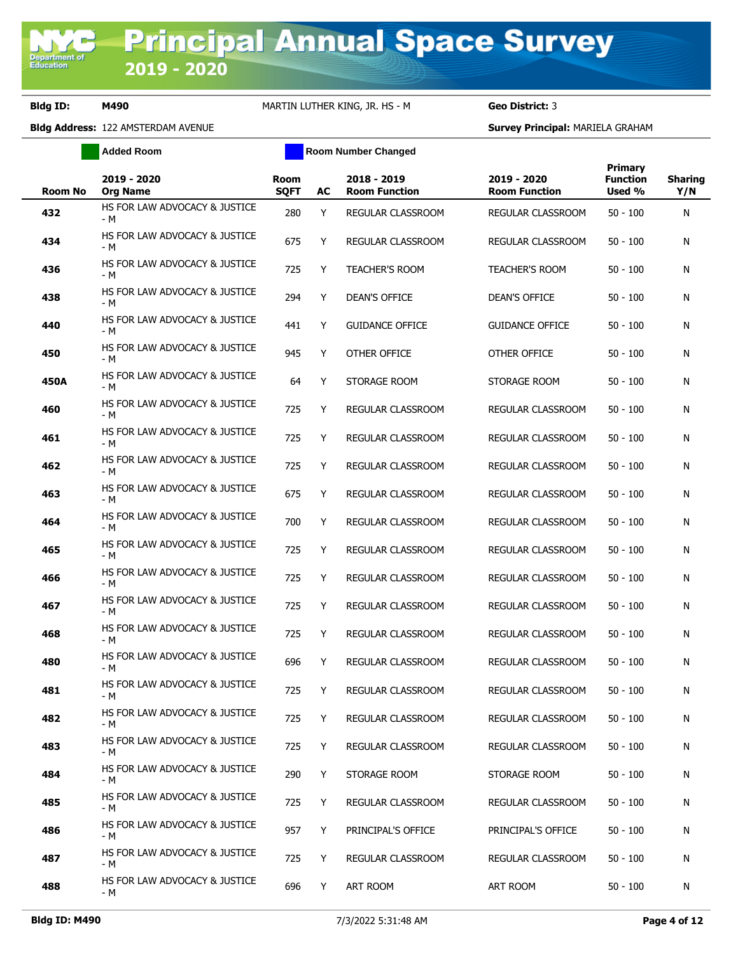**Added Room Room Room Number Changed** 

| Room No | 2019 - 2020<br><b>Org Name</b>       | <b>Room</b><br><b>SQFT</b> | AC | 2018 - 2019<br><b>Room Function</b> | 2019 - 2020<br><b>Room Function</b> | Primary<br><b>Function</b><br>Used % | <b>Sharing</b><br>Y/N |
|---------|--------------------------------------|----------------------------|----|-------------------------------------|-------------------------------------|--------------------------------------|-----------------------|
| 432     | HS FOR LAW ADVOCACY & JUSTICE<br>- M | 280                        | Y  | REGULAR CLASSROOM                   | REGULAR CLASSROOM                   | $50 - 100$                           | N                     |
| 434     | HS FOR LAW ADVOCACY & JUSTICE<br>- M | 675                        | Υ  | REGULAR CLASSROOM                   | REGULAR CLASSROOM                   | $50 - 100$                           | N                     |
| 436     | HS FOR LAW ADVOCACY & JUSTICE<br>- M | 725                        | Υ  | <b>TEACHER'S ROOM</b>               | <b>TEACHER'S ROOM</b>               | 50 - 100                             | N                     |
| 438     | HS FOR LAW ADVOCACY & JUSTICE<br>- M | 294                        | Y  | <b>DEAN'S OFFICE</b>                | <b>DEAN'S OFFICE</b>                | $50 - 100$                           | N                     |
| 440     | HS FOR LAW ADVOCACY & JUSTICE<br>- M | 441                        | Y  | <b>GUIDANCE OFFICE</b>              | <b>GUIDANCE OFFICE</b>              | $50 - 100$                           | N                     |
| 450     | HS FOR LAW ADVOCACY & JUSTICE<br>- M | 945                        | Y  | OTHER OFFICE                        | OTHER OFFICE                        | 50 - 100                             | N                     |
| 450A    | HS FOR LAW ADVOCACY & JUSTICE<br>- M | 64                         | Υ  | STORAGE ROOM                        | STORAGE ROOM                        | 50 - 100                             | N                     |
| 460     | HS FOR LAW ADVOCACY & JUSTICE<br>- M | 725                        | Υ  | REGULAR CLASSROOM                   | REGULAR CLASSROOM                   | $50 - 100$                           | N                     |
| 461     | HS FOR LAW ADVOCACY & JUSTICE<br>- M | 725                        | Υ  | REGULAR CLASSROOM                   | REGULAR CLASSROOM                   | $50 - 100$                           | N                     |
| 462     | HS FOR LAW ADVOCACY & JUSTICE<br>- M | 725                        | Υ  | <b>REGULAR CLASSROOM</b>            | REGULAR CLASSROOM                   | $50 - 100$                           | N                     |
| 463     | HS FOR LAW ADVOCACY & JUSTICE<br>- M | 675                        | Υ  | REGULAR CLASSROOM                   | REGULAR CLASSROOM                   | $50 - 100$                           | N                     |
| 464     | HS FOR LAW ADVOCACY & JUSTICE<br>- M | 700                        | Υ  | REGULAR CLASSROOM                   | REGULAR CLASSROOM                   | $50 - 100$                           | N                     |
| 465     | HS FOR LAW ADVOCACY & JUSTICE<br>- M | 725                        | Y  | REGULAR CLASSROOM                   | REGULAR CLASSROOM                   | $50 - 100$                           | N                     |
| 466     | HS FOR LAW ADVOCACY & JUSTICE<br>- M | 725                        | Y  | REGULAR CLASSROOM                   | REGULAR CLASSROOM                   | $50 - 100$                           | N                     |
| 467     | HS FOR LAW ADVOCACY & JUSTICE<br>- M | 725                        | Υ  | REGULAR CLASSROOM                   | REGULAR CLASSROOM                   | 50 - 100                             | N                     |
| 468     | HS FOR LAW ADVOCACY & JUSTICE<br>- M | 725                        | Y  | REGULAR CLASSROOM                   | <b>REGULAR CLASSROOM</b>            | 50 - 100                             | N                     |
| 480     | HS FOR LAW ADVOCACY & JUSTICE<br>- M | 696                        | Y  | REGULAR CLASSROOM                   | REGULAR CLASSROOM                   | $50 - 100$                           | N                     |
| 481     | HS FOR LAW ADVOCACY & JUSTICE<br>- M | 725                        | Y  | REGULAR CLASSROOM                   | REGULAR CLASSROOM                   | $50 - 100$                           | N                     |
| 482     | HS FOR LAW ADVOCACY & JUSTICE<br>- M | 725                        | Y  | REGULAR CLASSROOM                   | REGULAR CLASSROOM                   | $50 - 100$                           | N                     |
| 483     | HS FOR LAW ADVOCACY & JUSTICE<br>- M | 725                        | Y  | REGULAR CLASSROOM                   | REGULAR CLASSROOM                   | $50 - 100$                           | N                     |
| 484     | HS FOR LAW ADVOCACY & JUSTICE<br>- M | 290                        | Y  | STORAGE ROOM                        | STORAGE ROOM                        | 50 - 100                             | N                     |
| 485     | HS FOR LAW ADVOCACY & JUSTICE<br>- M | 725                        | Y  | REGULAR CLASSROOM                   | REGULAR CLASSROOM                   | $50 - 100$                           | N                     |
| 486     | HS FOR LAW ADVOCACY & JUSTICE<br>- M | 957                        | Y  | PRINCIPAL'S OFFICE                  | PRINCIPAL'S OFFICE                  | $50 - 100$                           | N                     |
| 487     | HS FOR LAW ADVOCACY & JUSTICE<br>- M | 725                        | Y  | REGULAR CLASSROOM                   | REGULAR CLASSROOM                   | 50 - 100                             | N                     |
| 488     | HS FOR LAW ADVOCACY & JUSTICE<br>- M | 696                        | Y  | ART ROOM                            | ART ROOM                            | $50 - 100$                           | N                     |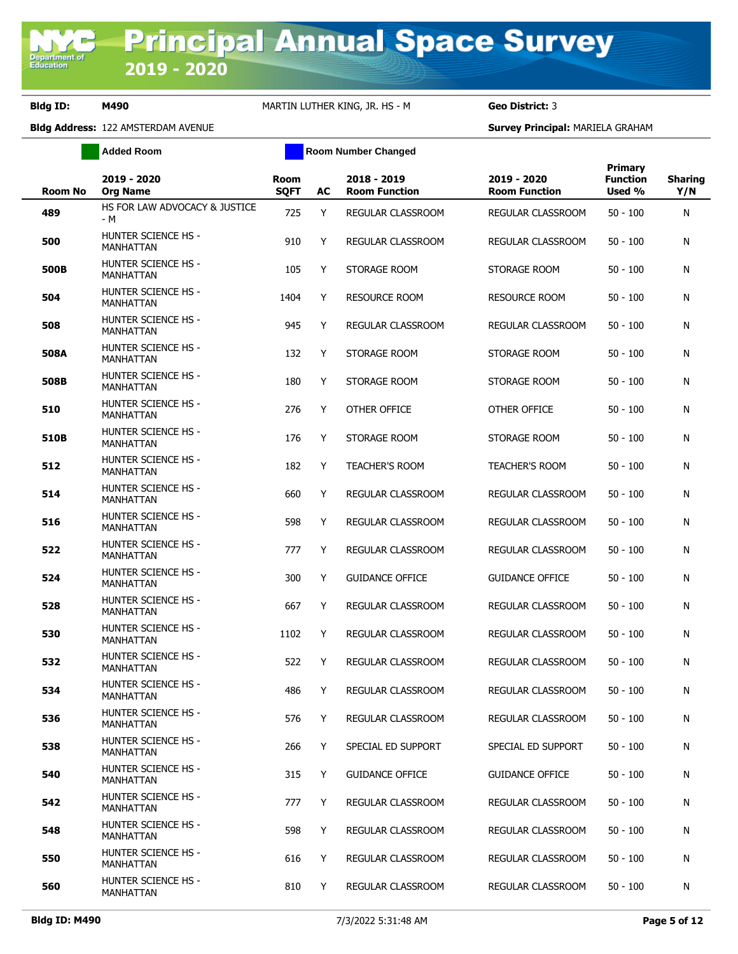**Added Room Room Room Number Changed** 

| <b>Room No</b> | 2019 - 2020<br><b>Org Name</b>                 | <b>Room</b><br><b>SQFT</b> | AC | 2018 - 2019<br><b>Room Function</b> | 2019 - 2020<br><b>Room Function</b> | <b>Primary</b><br><b>Function</b><br>Used % | <b>Sharing</b><br>Y/N |
|----------------|------------------------------------------------|----------------------------|----|-------------------------------------|-------------------------------------|---------------------------------------------|-----------------------|
| 489            | HS FOR LAW ADVOCACY & JUSTICE<br>- M           | 725                        | Y  | REGULAR CLASSROOM                   | REGULAR CLASSROOM                   | $50 - 100$                                  | N                     |
| 500            | <b>HUNTER SCIENCE HS -</b><br><b>MANHATTAN</b> | 910                        | Y  | REGULAR CLASSROOM                   | REGULAR CLASSROOM                   | $50 - 100$                                  | N                     |
| 500B           | <b>HUNTER SCIENCE HS -</b><br>MANHATTAN        | 105                        | Y  | STORAGE ROOM                        | STORAGE ROOM                        | $50 - 100$                                  | N                     |
| 504            | HUNTER SCIENCE HS -<br><b>MANHATTAN</b>        | 1404                       | Y  | <b>RESOURCE ROOM</b>                | <b>RESOURCE ROOM</b>                | $50 - 100$                                  | N                     |
| 508            | <b>HUNTER SCIENCE HS -</b><br><b>MANHATTAN</b> | 945                        | Y  | REGULAR CLASSROOM                   | REGULAR CLASSROOM                   | $50 - 100$                                  | N                     |
| 508A           | HUNTER SCIENCE HS -<br><b>MANHATTAN</b>        | 132                        | Y  | STORAGE ROOM                        | STORAGE ROOM                        | $50 - 100$                                  | N                     |
| 508B           | <b>HUNTER SCIENCE HS -</b><br><b>MANHATTAN</b> | 180                        | Y  | STORAGE ROOM                        | STORAGE ROOM                        | $50 - 100$                                  | N                     |
| 510            | HUNTER SCIENCE HS -<br><b>MANHATTAN</b>        | 276                        | Y  | OTHER OFFICE                        | OTHER OFFICE                        | $50 - 100$                                  | N                     |
| 510B           | <b>HUNTER SCIENCE HS -</b><br>MANHATTAN        | 176                        | Y  | STORAGE ROOM                        | STORAGE ROOM                        | $50 - 100$                                  | N                     |
| 512            | <b>HUNTER SCIENCE HS -</b><br><b>MANHATTAN</b> | 182                        | Y  | <b>TEACHER'S ROOM</b>               | <b>TEACHER'S ROOM</b>               | $50 - 100$                                  | N                     |
| 514            | <b>HUNTER SCIENCE HS -</b><br>MANHATTAN        | 660                        | Y  | REGULAR CLASSROOM                   | REGULAR CLASSROOM                   | $50 - 100$                                  | N                     |
| 516            | <b>HUNTER SCIENCE HS -</b><br><b>MANHATTAN</b> | 598                        | Y  | REGULAR CLASSROOM                   | REGULAR CLASSROOM                   | $50 - 100$                                  | N                     |
| 522            | HUNTER SCIENCE HS -<br><b>MANHATTAN</b>        | 777                        | Y  | REGULAR CLASSROOM                   | REGULAR CLASSROOM                   | $50 - 100$                                  | N                     |
| 524            | <b>HUNTER SCIENCE HS -</b><br><b>MANHATTAN</b> | 300                        | Y  | <b>GUIDANCE OFFICE</b>              | <b>GUIDANCE OFFICE</b>              | $50 - 100$                                  | N                     |
| 528            | HUNTER SCIENCE HS -<br><b>MANHATTAN</b>        | 667                        | Y  | REGULAR CLASSROOM                   | REGULAR CLASSROOM                   | $50 - 100$                                  | N                     |
| 530            | <b>HUNTER SCIENCE HS -</b><br><b>MANHATTAN</b> | 1102                       | Y  | <b>REGULAR CLASSROOM</b>            | REGULAR CLASSROOM                   | $50 - 100$                                  | N                     |
| 532            | HUNTER SCIENCE HS -<br><b>MANHATTAN</b>        | 522                        | Y  | REGULAR CLASSROOM                   | REGULAR CLASSROOM                   | $50 - 100$                                  | N                     |
| 534            | <b>HUNTER SCIENCE HS -</b><br>MANHATTAN        | 486                        | Y  | REGULAR CLASSROOM                   | REGULAR CLASSROOM                   | $50 - 100$                                  | N                     |
| 536            | <b>HUNTER SCIENCE HS -</b><br>MANHATTAN        | 576                        | Y  | REGULAR CLASSROOM                   | REGULAR CLASSROOM                   | $50 - 100$                                  | N                     |
| 538            | <b>HUNTER SCIENCE HS -</b><br>MANHATTAN        | 266                        | Y  | SPECIAL ED SUPPORT                  | SPECIAL ED SUPPORT                  | $50 - 100$                                  | N                     |
| 540            | HUNTER SCIENCE HS -<br>MANHATTAN               | 315                        | Y  | <b>GUIDANCE OFFICE</b>              | <b>GUIDANCE OFFICE</b>              | $50 - 100$                                  | N                     |
| 542            | HUNTER SCIENCE HS -<br>MANHATTAN               | 777                        | Y  | REGULAR CLASSROOM                   | REGULAR CLASSROOM                   | $50 - 100$                                  | N                     |
| 548            | HUNTER SCIENCE HS -<br>MANHATTAN               | 598                        | Y  | REGULAR CLASSROOM                   | REGULAR CLASSROOM                   | $50 - 100$                                  | N                     |
| 550            | <b>HUNTER SCIENCE HS -</b><br>MANHATTAN        | 616                        | Y  | REGULAR CLASSROOM                   | REGULAR CLASSROOM                   | $50 - 100$                                  | N                     |
| 560            | HUNTER SCIENCE HS -<br>MANHATTAN               | 810                        | Y  | REGULAR CLASSROOM                   | REGULAR CLASSROOM                   | $50 - 100$                                  | N                     |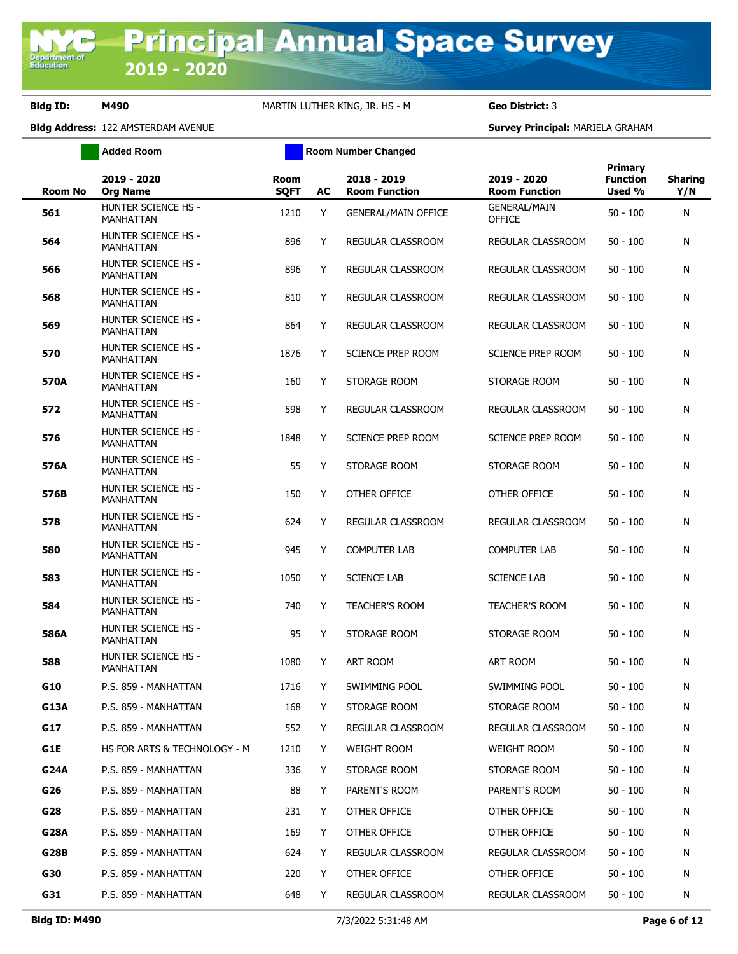**Added Room Room Room Number Changed** 

| <b>Room No</b> | 2019 - 2020<br><b>Org Name</b>                 | <b>Room</b><br><b>SQFT</b> | AC | 2018 - 2019<br><b>Room Function</b> | 2019 - 2020<br><b>Room Function</b>  | Primary<br><b>Function</b><br>Used % | <b>Sharing</b><br>Y/N |
|----------------|------------------------------------------------|----------------------------|----|-------------------------------------|--------------------------------------|--------------------------------------|-----------------------|
| 561            | <b>HUNTER SCIENCE HS -</b><br>MANHATTAN        | 1210                       | Y  | <b>GENERAL/MAIN OFFICE</b>          | <b>GENERAL/MAIN</b><br><b>OFFICE</b> | $50 - 100$                           | N                     |
| 564            | <b>HUNTER SCIENCE HS -</b><br>MANHATTAN        | 896                        | Y  | REGULAR CLASSROOM                   | REGULAR CLASSROOM                    | $50 - 100$                           | N                     |
| 566            | <b>HUNTER SCIENCE HS -</b><br>MANHATTAN        | 896                        | Y  | REGULAR CLASSROOM                   | REGULAR CLASSROOM                    | $50 - 100$                           | N                     |
| 568            | <b>HUNTER SCIENCE HS -</b><br>MANHATTAN        | 810                        | Y  | <b>REGULAR CLASSROOM</b>            | REGULAR CLASSROOM                    | $50 - 100$                           | N                     |
| 569            | HUNTER SCIENCE HS -<br>MANHATTAN               | 864                        | Y  | REGULAR CLASSROOM                   | REGULAR CLASSROOM                    | $50 - 100$                           | N                     |
| 570            | <b>HUNTER SCIENCE HS -</b><br>MANHATTAN        | 1876                       | Y  | <b>SCIENCE PREP ROOM</b>            | <b>SCIENCE PREP ROOM</b>             | $50 - 100$                           | N                     |
| 570A           | HUNTER SCIENCE HS -<br>MANHATTAN               | 160                        | Y  | STORAGE ROOM                        | STORAGE ROOM                         | $50 - 100$                           | N                     |
| 572            | <b>HUNTER SCIENCE HS -</b><br>MANHATTAN        | 598                        | Y  | <b>REGULAR CLASSROOM</b>            | REGULAR CLASSROOM                    | $50 - 100$                           | N                     |
| 576            | <b>HUNTER SCIENCE HS -</b><br>MANHATTAN        | 1848                       | Y  | <b>SCIENCE PREP ROOM</b>            | <b>SCIENCE PREP ROOM</b>             | $50 - 100$                           | N                     |
| 576A           | <b>HUNTER SCIENCE HS -</b><br>MANHATTAN        | 55                         | Y  | STORAGE ROOM                        | STORAGE ROOM                         | $50 - 100$                           | N                     |
| 576B           | HUNTER SCIENCE HS -<br><b>MANHATTAN</b>        | 150                        | Y  | OTHER OFFICE                        | OTHER OFFICE                         | $50 - 100$                           | N                     |
| 578            | <b>HUNTER SCIENCE HS -</b><br>MANHATTAN        | 624                        | Y  | REGULAR CLASSROOM                   | REGULAR CLASSROOM                    | $50 - 100$                           | N                     |
| 580            | HUNTER SCIENCE HS -<br>MANHATTAN               | 945                        | Y  | <b>COMPUTER LAB</b>                 | <b>COMPUTER LAB</b>                  | $50 - 100$                           | N                     |
| 583            | HUNTER SCIENCE HS -<br>MANHATTAN               | 1050                       | Y  | <b>SCIENCE LAB</b>                  | <b>SCIENCE LAB</b>                   | $50 - 100$                           | N                     |
| 584            | HUNTER SCIENCE HS -<br><b>MANHATTAN</b>        | 740                        | Y  | <b>TEACHER'S ROOM</b>               | <b>TEACHER'S ROOM</b>                | $50 - 100$                           | N                     |
| 586A           | HUNTER SCIENCE HS -<br><b>MANHATTAN</b>        | 95                         | Y  | STORAGE ROOM                        | STORAGE ROOM                         | $50 - 100$                           | N                     |
| 588            | <b>HUNTER SCIENCE HS -</b><br><b>MANHATTAN</b> | 1080                       | Y  | ART ROOM                            | ART ROOM                             | $50 - 100$                           | N                     |
| G10            | P.S. 859 - MANHATTAN                           | 1716                       | Y  | SWIMMING POOL                       | SWIMMING POOL                        | $50 - 100$                           | N                     |
| G13A           | P.S. 859 - MANHATTAN                           | 168                        | Y  | STORAGE ROOM                        | STORAGE ROOM                         | $50 - 100$                           | N                     |
| G17            | P.S. 859 - MANHATTAN                           | 552                        | Y  | REGULAR CLASSROOM                   | REGULAR CLASSROOM                    | $50 - 100$                           | N                     |
| G1E            | HS FOR ARTS & TECHNOLOGY - M                   | 1210                       | Y  | <b>WEIGHT ROOM</b>                  | WEIGHT ROOM                          | $50 - 100$                           | N                     |
| G24A           | P.S. 859 - MANHATTAN                           | 336                        | Y  | STORAGE ROOM                        | STORAGE ROOM                         | $50 - 100$                           | N                     |
| G26            | P.S. 859 - MANHATTAN                           | 88                         | Y  | PARENT'S ROOM                       | PARENT'S ROOM                        | $50 - 100$                           | N                     |
| G28            | P.S. 859 - MANHATTAN                           | 231                        | Y  | OTHER OFFICE                        | OTHER OFFICE                         | $50 - 100$                           | N                     |
| G28A           | P.S. 859 - MANHATTAN                           | 169                        | Y  | OTHER OFFICE                        | OTHER OFFICE                         | $50 - 100$                           | N                     |
| G28B           | P.S. 859 - MANHATTAN                           | 624                        | Y  | <b>REGULAR CLASSROOM</b>            | REGULAR CLASSROOM                    | $50 - 100$                           | N                     |
| G30            | P.S. 859 - MANHATTAN                           | 220                        | Y  | OTHER OFFICE                        | OTHER OFFICE                         | $50 - 100$                           | N                     |
| G31            | P.S. 859 - MANHATTAN                           | 648                        | Y  | REGULAR CLASSROOM                   | REGULAR CLASSROOM                    | 50 - 100                             | N                     |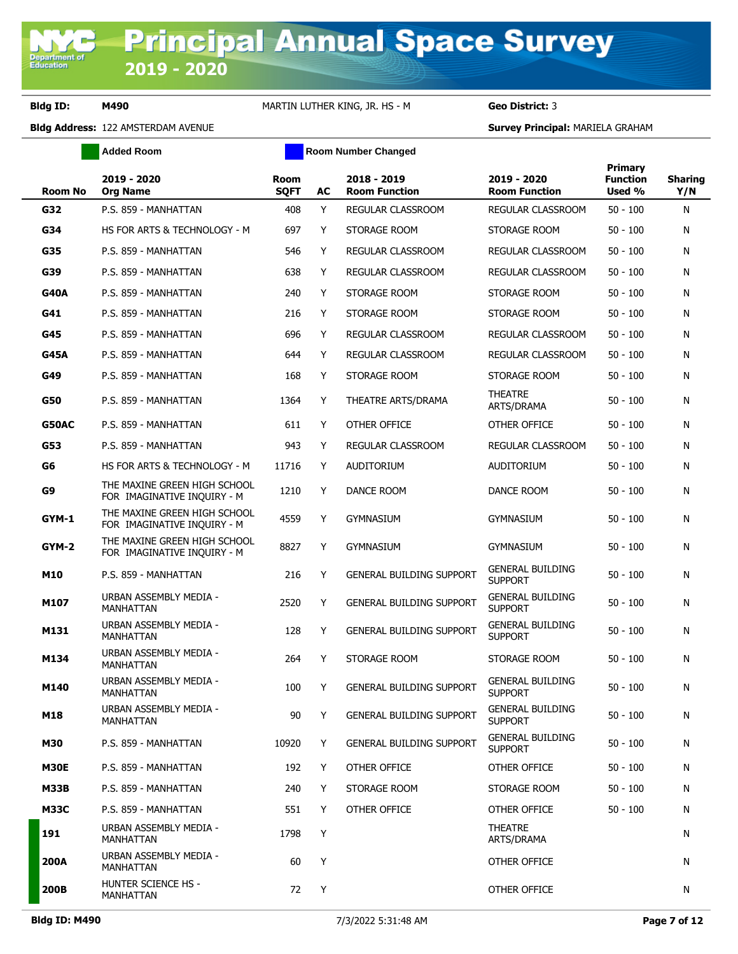**Added Room Room Room Number Changed** 

| Room No      | 2019 - 2020<br><b>Org Name</b>                              | <b>Room</b><br><b>SQFT</b> | AC | 2018 - 2019<br><b>Room Function</b> | 2019 - 2020<br><b>Room Function</b>       | Primary<br><b>Function</b><br>Used % | <b>Sharing</b><br>Y/N |
|--------------|-------------------------------------------------------------|----------------------------|----|-------------------------------------|-------------------------------------------|--------------------------------------|-----------------------|
| G32          | P.S. 859 - MANHATTAN                                        | 408                        | Y  | REGULAR CLASSROOM                   | REGULAR CLASSROOM                         | $50 - 100$                           | N                     |
| G34          | HS FOR ARTS & TECHNOLOGY - M                                | 697                        | Y  | STORAGE ROOM                        | STORAGE ROOM                              | $50 - 100$                           | N                     |
| G35          | P.S. 859 - MANHATTAN                                        | 546                        | Y  | REGULAR CLASSROOM                   | REGULAR CLASSROOM                         | $50 - 100$                           | N                     |
| G39          | P.S. 859 - MANHATTAN                                        | 638                        | Y  | REGULAR CLASSROOM                   | REGULAR CLASSROOM                         | $50 - 100$                           | N                     |
| <b>G40A</b>  | P.S. 859 - MANHATTAN                                        | 240                        | Y  | STORAGE ROOM                        | STORAGE ROOM                              | $50 - 100$                           | N                     |
| G41          | P.S. 859 - MANHATTAN                                        | 216                        | Y  | STORAGE ROOM                        | STORAGE ROOM                              | $50 - 100$                           | N                     |
| G45          | P.S. 859 - MANHATTAN                                        | 696                        | Y  | REGULAR CLASSROOM                   | REGULAR CLASSROOM                         | $50 - 100$                           | N                     |
| <b>G45A</b>  | P.S. 859 - MANHATTAN                                        | 644                        | Y  | REGULAR CLASSROOM                   | REGULAR CLASSROOM                         | $50 - 100$                           | N                     |
| G49          | P.S. 859 - MANHATTAN                                        | 168                        | Y  | STORAGE ROOM                        | STORAGE ROOM                              | $50 - 100$                           | N                     |
| G50          | P.S. 859 - MANHATTAN                                        | 1364                       | Y  | THEATRE ARTS/DRAMA                  | <b>THEATRE</b><br>ARTS/DRAMA              | $50 - 100$                           | N                     |
| <b>G50AC</b> | P.S. 859 - MANHATTAN                                        | 611                        | Y  | OTHER OFFICE                        | OTHER OFFICE                              | $50 - 100$                           | N                     |
| G53          | P.S. 859 - MANHATTAN                                        | 943                        | Y  | <b>REGULAR CLASSROOM</b>            | <b>REGULAR CLASSROOM</b>                  | $50 - 100$                           | N                     |
| G6           | HS FOR ARTS & TECHNOLOGY - M                                | 11716                      | Y  | AUDITORIUM                          | <b>AUDITORIUM</b>                         | $50 - 100$                           | N                     |
| G9           | THE MAXINE GREEN HIGH SCHOOL<br>FOR IMAGINATIVE INQUIRY - M | 1210                       | Y  | DANCE ROOM                          | DANCE ROOM                                | $50 - 100$                           | N                     |
| GYM-1        | THE MAXINE GREEN HIGH SCHOOL<br>FOR IMAGINATIVE INQUIRY - M | 4559                       | Y  | <b>GYMNASIUM</b>                    | <b>GYMNASIUM</b>                          | $50 - 100$                           | N                     |
| GYM-2        | THE MAXINE GREEN HIGH SCHOOL<br>FOR IMAGINATIVE INQUIRY - M | 8827                       | Y  | <b>GYMNASIUM</b>                    | <b>GYMNASIUM</b>                          | $50 - 100$                           | N                     |
| M10          | P.S. 859 - MANHATTAN                                        | 216                        | Y  | <b>GENERAL BUILDING SUPPORT</b>     | <b>GENERAL BUILDING</b><br><b>SUPPORT</b> | $50 - 100$                           | N                     |
| M107         | URBAN ASSEMBLY MEDIA -<br><b>MANHATTAN</b>                  | 2520                       | Y  | <b>GENERAL BUILDING SUPPORT</b>     | <b>GENERAL BUILDING</b><br><b>SUPPORT</b> | $50 - 100$                           | N                     |
| M131         | URBAN ASSEMBLY MEDIA -<br>MANHATTAN                         | 128                        | Y  | <b>GENERAL BUILDING SUPPORT</b>     | <b>GENERAL BUILDING</b><br><b>SUPPORT</b> | $50 - 100$                           | N                     |
| M134         | URBAN ASSEMBLY MEDIA -<br>MANHATTAN                         | 264                        | Y  | STORAGE ROOM                        | STORAGE ROOM                              | $50 - 100$                           | N                     |
| M140         | URBAN ASSEMBLY MEDIA -<br><b>MANHATTAN</b>                  | 100                        | Y  | <b>GENERAL BUILDING SUPPORT</b>     | <b>GENERAL BUILDING</b><br><b>SUPPORT</b> | $50 - 100$                           | N                     |
| M18          | URBAN ASSEMBLY MEDIA -<br>MANHATTAN                         | 90                         | Y  | <b>GENERAL BUILDING SUPPORT</b>     | <b>GENERAL BUILDING</b><br><b>SUPPORT</b> | $50 - 100$                           | N                     |
| M30          | P.S. 859 - MANHATTAN                                        | 10920                      | Y  | <b>GENERAL BUILDING SUPPORT</b>     | <b>GENERAL BUILDING</b><br><b>SUPPORT</b> | $50 - 100$                           | N                     |
| <b>M30E</b>  | P.S. 859 - MANHATTAN                                        | 192                        | Y  | OTHER OFFICE                        | OTHER OFFICE                              | $50 - 100$                           | N                     |
| <b>M33B</b>  | P.S. 859 - MANHATTAN                                        | 240                        | Y  | STORAGE ROOM                        | STORAGE ROOM                              | $50 - 100$                           | N                     |
| <b>M33C</b>  | P.S. 859 - MANHATTAN                                        | 551                        | Y  | OTHER OFFICE                        | OTHER OFFICE                              | $50 - 100$                           | N                     |
| 191          | URBAN ASSEMBLY MEDIA -<br>MANHATTAN                         | 1798                       | Y  |                                     | <b>THEATRE</b><br>ARTS/DRAMA              |                                      | N                     |
| 200A         | URBAN ASSEMBLY MEDIA -<br>MANHATTAN                         | 60                         | Y  |                                     | OTHER OFFICE                              |                                      | N                     |
| 200B         | HUNTER SCIENCE HS -<br>MANHATTAN                            | 72                         | Y  |                                     | OTHER OFFICE                              |                                      | N                     |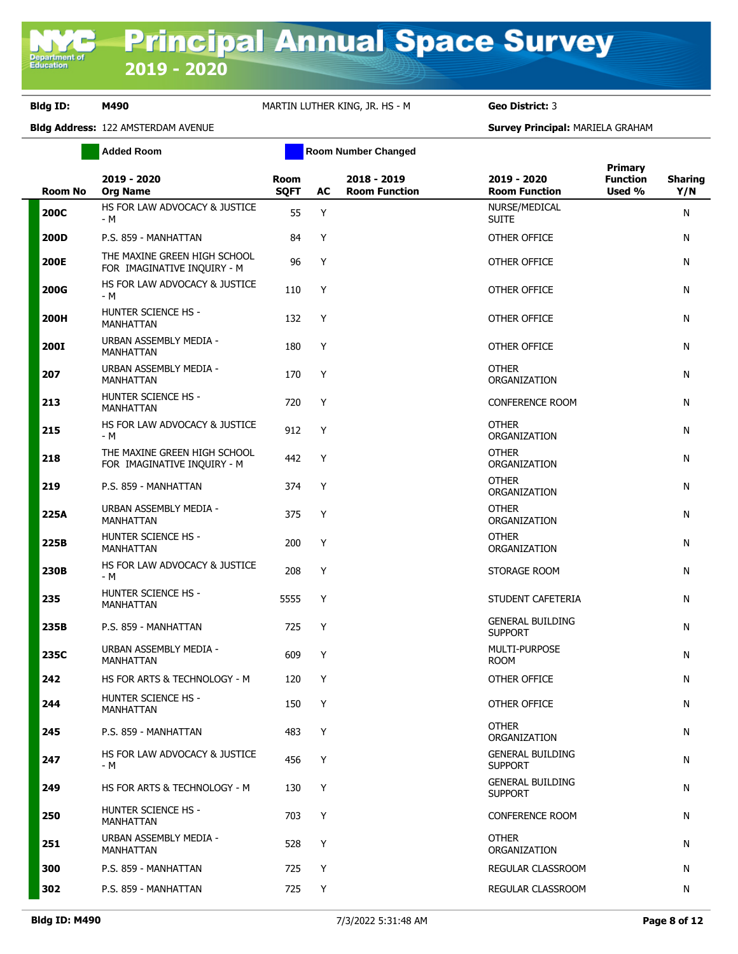|             | <b>Added Room</b>                                           |                            |    | <b>Room Number Changed</b>          |                                           |                                             |                       |
|-------------|-------------------------------------------------------------|----------------------------|----|-------------------------------------|-------------------------------------------|---------------------------------------------|-----------------------|
| Room No     | 2019 - 2020<br><b>Org Name</b>                              | <b>Room</b><br><b>SQFT</b> | AC | 2018 - 2019<br><b>Room Function</b> | 2019 - 2020<br><b>Room Function</b>       | <b>Primary</b><br><b>Function</b><br>Used % | <b>Sharing</b><br>Y/N |
| <b>200C</b> | HS FOR LAW ADVOCACY & JUSTICE<br>- M                        | 55                         | Y  |                                     | NURSE/MEDICAL<br><b>SUITE</b>             |                                             | N                     |
| 200D        | P.S. 859 - MANHATTAN                                        | 84                         | Y  |                                     | OTHER OFFICE                              |                                             | N                     |
| <b>200E</b> | THE MAXINE GREEN HIGH SCHOOL<br>FOR IMAGINATIVE INQUIRY - M | 96                         | Y  |                                     | OTHER OFFICE                              |                                             | N                     |
| <b>200G</b> | HS FOR LAW ADVOCACY & JUSTICE<br>- M                        | 110                        | Y  |                                     | OTHER OFFICE                              |                                             | N                     |
| 200H        | <b>HUNTER SCIENCE HS -</b><br>MANHATTAN                     | 132                        | Y  |                                     | OTHER OFFICE                              |                                             | N                     |
| <b>200I</b> | URBAN ASSEMBLY MEDIA -<br>MANHATTAN                         | 180                        | Y  |                                     | OTHER OFFICE                              |                                             | N                     |
| 207         | URBAN ASSEMBLY MEDIA -<br><b>MANHATTAN</b>                  | 170                        | Y  |                                     | <b>OTHER</b><br>ORGANIZATION              |                                             | N                     |
| 213         | <b>HUNTER SCIENCE HS -</b><br><b>MANHATTAN</b>              | 720                        | Y  |                                     | <b>CONFERENCE ROOM</b>                    |                                             | N                     |
| 215         | HS FOR LAW ADVOCACY & JUSTICE<br>- M                        | 912                        | Y  |                                     | <b>OTHER</b><br>ORGANIZATION              |                                             | N                     |
| 218         | THE MAXINE GREEN HIGH SCHOOL<br>FOR IMAGINATIVE INQUIRY - M | 442                        | Y  |                                     | <b>OTHER</b><br>ORGANIZATION              |                                             | N                     |
| 219         | P.S. 859 - MANHATTAN                                        | 374                        | Y  |                                     | <b>OTHER</b><br>ORGANIZATION              |                                             | N                     |
| 225A        | URBAN ASSEMBLY MEDIA -<br>MANHATTAN                         | 375                        | Y  |                                     | <b>OTHER</b><br>ORGANIZATION              |                                             | N                     |
| 225B        | HUNTER SCIENCE HS -<br>MANHATTAN                            | 200                        | Y  |                                     | <b>OTHER</b><br>ORGANIZATION              |                                             | N                     |
| 230B        | HS FOR LAW ADVOCACY & JUSTICE<br>- M                        | 208                        | Y  |                                     | STORAGE ROOM                              |                                             | N                     |
| 235         | HUNTER SCIENCE HS -<br>MANHATTAN                            | 5555                       | Y  |                                     | STUDENT CAFETERIA                         |                                             | N                     |
| 235B        | P.S. 859 - MANHATTAN                                        | 725                        | Y  |                                     | <b>GENERAL BUILDING</b><br><b>SUPPORT</b> |                                             | N                     |
| 235C        | URBAN ASSEMBLY MEDIA -<br><b>MANHATTAN</b>                  | 609                        | Y  |                                     | MULTI-PURPOSE<br><b>ROOM</b>              |                                             | N                     |
| 242         | HS FOR ARTS & TECHNOLOGY - M                                | 120                        | Y  |                                     | OTHER OFFICE                              |                                             | N                     |
| 244         | <b>HUNTER SCIENCE HS -</b><br>MANHATTAN                     | 150                        | Y  |                                     | OTHER OFFICE                              |                                             | N                     |
| 245         | P.S. 859 - MANHATTAN                                        | 483                        | Y  |                                     | <b>OTHER</b><br>ORGANIZATION              |                                             | N                     |
| 247         | HS FOR LAW ADVOCACY & JUSTICE<br>- M                        | 456                        | Y  |                                     | <b>GENERAL BUILDING</b><br><b>SUPPORT</b> |                                             | N                     |
| 249         | HS FOR ARTS & TECHNOLOGY - M                                | 130                        | Y  |                                     | <b>GENERAL BUILDING</b><br><b>SUPPORT</b> |                                             | N                     |
| 250         | <b>HUNTER SCIENCE HS -</b><br>MANHATTAN                     | 703                        | Y  |                                     | <b>CONFERENCE ROOM</b>                    |                                             | N                     |
| 251         | URBAN ASSEMBLY MEDIA -<br>MANHATTAN                         | 528                        | Y  |                                     | <b>OTHER</b><br>ORGANIZATION              |                                             | N                     |
| 300         | P.S. 859 - MANHATTAN                                        | 725                        | Y  |                                     | REGULAR CLASSROOM                         |                                             | N                     |
| 302         | P.S. 859 - MANHATTAN                                        | 725                        | Y  |                                     | REGULAR CLASSROOM                         |                                             | N                     |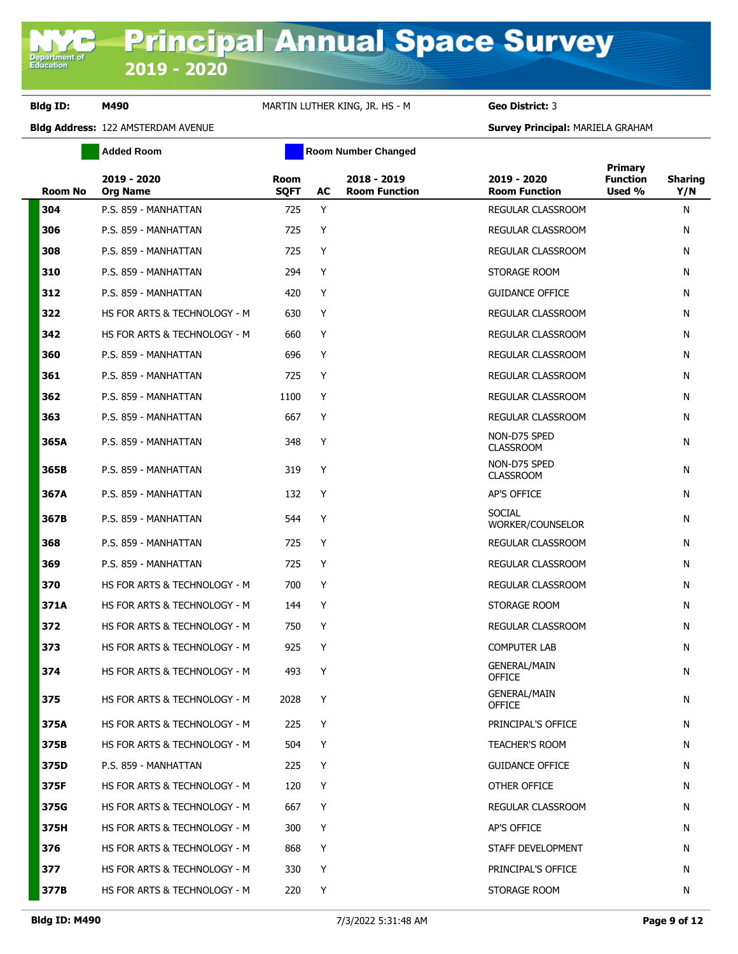**Added Room Room Room Number Changed** 

| <b>Room No</b> | 2019 - 2020<br><b>Org Name</b> | <b>Room</b><br><b>SQFT</b> | AC | 2018 - 2019<br><b>Room Function</b> | 2019 - 2020<br><b>Room Function</b>  | Primary<br><b>Function</b><br>Used % | <b>Sharing</b><br>Y/N |
|----------------|--------------------------------|----------------------------|----|-------------------------------------|--------------------------------------|--------------------------------------|-----------------------|
| 304            | P.S. 859 - MANHATTAN           | 725                        | Y  |                                     | REGULAR CLASSROOM                    |                                      | N                     |
| 306            | P.S. 859 - MANHATTAN           | 725                        | Y  |                                     | REGULAR CLASSROOM                    |                                      | N                     |
| 308            | P.S. 859 - MANHATTAN           | 725                        | Y  |                                     | REGULAR CLASSROOM                    |                                      | N                     |
| 310            | P.S. 859 - MANHATTAN           | 294                        | Y  |                                     | STORAGE ROOM                         |                                      | N                     |
| 312            | P.S. 859 - MANHATTAN           | 420                        | Y  |                                     | <b>GUIDANCE OFFICE</b>               |                                      | N                     |
| 322            | HS FOR ARTS & TECHNOLOGY - M   | 630                        | Y  |                                     | REGULAR CLASSROOM                    |                                      | N                     |
| 342            | HS FOR ARTS & TECHNOLOGY - M   | 660                        | Y  |                                     | REGULAR CLASSROOM                    |                                      | N                     |
| 360            | P.S. 859 - MANHATTAN           | 696                        | Y  |                                     | REGULAR CLASSROOM                    |                                      | N                     |
| 361            | P.S. 859 - MANHATTAN           | 725                        | Y  |                                     | REGULAR CLASSROOM                    |                                      | N                     |
| 362            | P.S. 859 - MANHATTAN           | 1100                       | Y  |                                     | REGULAR CLASSROOM                    |                                      | N                     |
| 363            | P.S. 859 - MANHATTAN           | 667                        | Y  |                                     | REGULAR CLASSROOM                    |                                      | N                     |
| 365A           | P.S. 859 - MANHATTAN           | 348                        | Y  |                                     | NON-D75 SPED<br><b>CLASSROOM</b>     |                                      | N                     |
| 365B           | P.S. 859 - MANHATTAN           | 319                        | Y  |                                     | NON-D75 SPED<br><b>CLASSROOM</b>     |                                      | N                     |
| 367A           | P.S. 859 - MANHATTAN           | 132                        | Y  |                                     | AP'S OFFICE                          |                                      | N                     |
| 367B           | P.S. 859 - MANHATTAN           | 544                        | Y  |                                     | <b>SOCIAL</b><br>WORKER/COUNSELOR    |                                      | N                     |
| 368            | P.S. 859 - MANHATTAN           | 725                        | Y  |                                     | REGULAR CLASSROOM                    |                                      | N                     |
| 369            | P.S. 859 - MANHATTAN           | 725                        | Y  |                                     | REGULAR CLASSROOM                    |                                      | N                     |
| 370            | HS FOR ARTS & TECHNOLOGY - M   | 700                        | Y  |                                     | REGULAR CLASSROOM                    |                                      | N                     |
| 371A           | HS FOR ARTS & TECHNOLOGY - M   | 144                        | Y  |                                     | STORAGE ROOM                         |                                      | N                     |
| 372            | HS FOR ARTS & TECHNOLOGY - M   | 750                        | Y  |                                     | REGULAR CLASSROOM                    |                                      | N                     |
| 373            | HS FOR ARTS & TECHNOLOGY - M   | 925                        | Y  |                                     | <b>COMPUTER LAB</b>                  |                                      | N                     |
| 374            | HS FOR ARTS & TECHNOLOGY - M   | 493                        | Y  |                                     | <b>GENERAL/MAIN</b><br><b>OFFICE</b> |                                      | N                     |
| 375            | HS FOR ARTS & TECHNOLOGY - M   | 2028                       | Y  |                                     | <b>GENERAL/MAIN</b><br>OFFICE        |                                      | N                     |
| 375A           | HS FOR ARTS & TECHNOLOGY - M   | 225                        | Y  |                                     | PRINCIPAL'S OFFICE                   |                                      | N                     |
| 375B           | HS FOR ARTS & TECHNOLOGY - M   | 504                        | Y  |                                     | <b>TEACHER'S ROOM</b>                |                                      | N                     |
| 375D           | P.S. 859 - MANHATTAN           | 225                        | Y  |                                     | <b>GUIDANCE OFFICE</b>               |                                      | N                     |
| 375F           | HS FOR ARTS & TECHNOLOGY - M   | 120                        | Y  |                                     | OTHER OFFICE                         |                                      | N                     |
| 375G           | HS FOR ARTS & TECHNOLOGY - M   | 667                        | Y  |                                     | REGULAR CLASSROOM                    |                                      | N                     |
| 375H           | HS FOR ARTS & TECHNOLOGY - M   | 300                        | Y  |                                     | AP'S OFFICE                          |                                      | N                     |
| 376            | HS FOR ARTS & TECHNOLOGY - M   | 868                        | Y  |                                     | STAFF DEVELOPMENT                    |                                      | N                     |
| 377            | HS FOR ARTS & TECHNOLOGY - M   | 330                        | Y  |                                     | PRINCIPAL'S OFFICE                   |                                      | N                     |
| 377B           | HS FOR ARTS & TECHNOLOGY - M   | 220                        | Y  |                                     | STORAGE ROOM                         |                                      | N                     |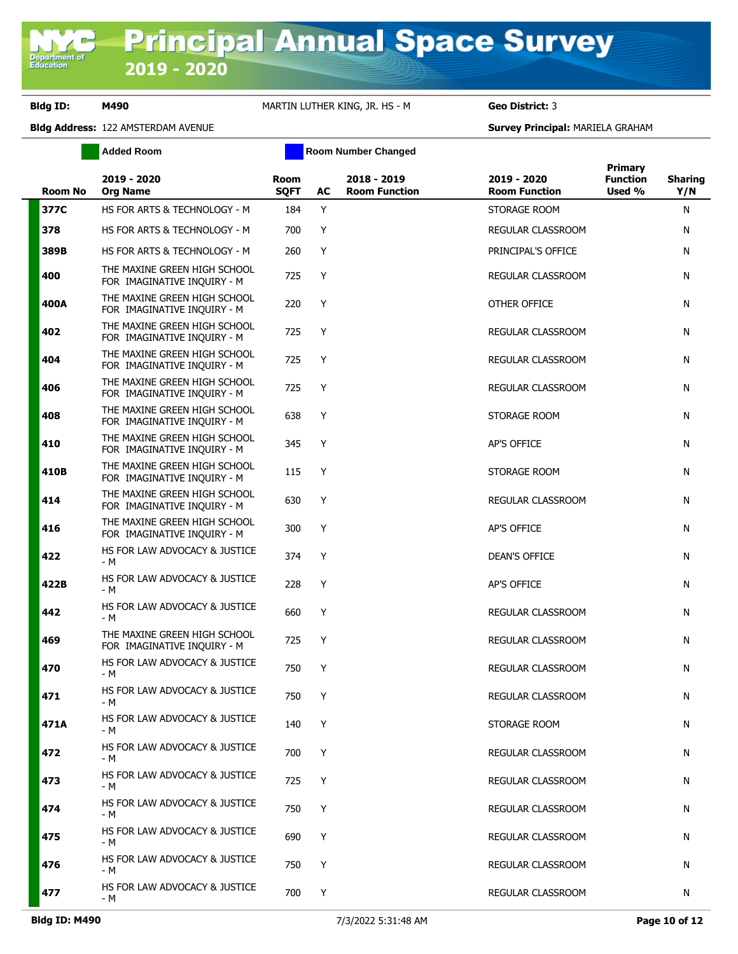|                | <b>Added Room</b>                                           |                            |    | <b>Room Number Changed</b>          |                                     |                                             |                       |
|----------------|-------------------------------------------------------------|----------------------------|----|-------------------------------------|-------------------------------------|---------------------------------------------|-----------------------|
| <b>Room No</b> | 2019 - 2020<br><b>Org Name</b>                              | <b>Room</b><br><b>SQFT</b> | AC | 2018 - 2019<br><b>Room Function</b> | 2019 - 2020<br><b>Room Function</b> | <b>Primary</b><br><b>Function</b><br>Used % | <b>Sharing</b><br>Y/N |
| 377C           | HS FOR ARTS & TECHNOLOGY - M                                | 184                        | Y  |                                     | STORAGE ROOM                        |                                             | N                     |
| 378            | HS FOR ARTS & TECHNOLOGY - M                                | 700                        | Y  |                                     | REGULAR CLASSROOM                   |                                             | N                     |
| 389B           | HS FOR ARTS & TECHNOLOGY - M                                | 260                        | Y  |                                     | PRINCIPAL'S OFFICE                  |                                             | N                     |
| 400            | THE MAXINE GREEN HIGH SCHOOL<br>FOR IMAGINATIVE INQUIRY - M | 725                        | Y  |                                     | REGULAR CLASSROOM                   |                                             | N                     |
| 400A           | THE MAXINE GREEN HIGH SCHOOL<br>FOR IMAGINATIVE INQUIRY - M | 220                        | Y  |                                     | OTHER OFFICE                        |                                             | N                     |
| 402            | THE MAXINE GREEN HIGH SCHOOL<br>FOR IMAGINATIVE INQUIRY - M | 725                        | Y  |                                     | REGULAR CLASSROOM                   |                                             | N                     |
| 404            | THE MAXINE GREEN HIGH SCHOOL<br>FOR IMAGINATIVE INQUIRY - M | 725                        | Y  |                                     | REGULAR CLASSROOM                   |                                             | N                     |
| 406            | THE MAXINE GREEN HIGH SCHOOL<br>FOR IMAGINATIVE INQUIRY - M | 725                        | Y  |                                     | <b>REGULAR CLASSROOM</b>            |                                             | N                     |
| 408            | THE MAXINE GREEN HIGH SCHOOL<br>FOR IMAGINATIVE INQUIRY - M | 638                        | Y  |                                     | STORAGE ROOM                        |                                             | N                     |
| 410            | THE MAXINE GREEN HIGH SCHOOL<br>FOR IMAGINATIVE INQUIRY - M | 345                        | Y  |                                     | AP'S OFFICE                         |                                             | N                     |
| 410B           | THE MAXINE GREEN HIGH SCHOOL<br>FOR IMAGINATIVE INQUIRY - M | 115                        | Y  |                                     | STORAGE ROOM                        |                                             | N                     |
| 414            | THE MAXINE GREEN HIGH SCHOOL<br>FOR IMAGINATIVE INQUIRY - M | 630                        | Y  |                                     | REGULAR CLASSROOM                   |                                             | N                     |
| 416            | THE MAXINE GREEN HIGH SCHOOL<br>FOR IMAGINATIVE INQUIRY - M | 300                        | Y  |                                     | AP'S OFFICE                         |                                             | N                     |
| 422            | HS FOR LAW ADVOCACY & JUSTICE<br>- M                        | 374                        | Y  |                                     | DEAN'S OFFICE                       |                                             | N                     |
| 422B           | HS FOR LAW ADVOCACY & JUSTICE<br>- M                        | 228                        | Y  |                                     | AP'S OFFICE                         |                                             | N                     |
| 442            | HS FOR LAW ADVOCACY & JUSTICE<br>- M                        | 660                        | Y  |                                     | REGULAR CLASSROOM                   |                                             | N                     |
| 469            | THE MAXINE GREEN HIGH SCHOOL<br>FOR IMAGINATIVE INQUIRY - M | 725                        | Y  |                                     | REGULAR CLASSROOM                   |                                             | N                     |
| 470            | HS FOR LAW ADVOCACY & JUSTICE<br>- M                        | 750                        | Y  |                                     | REGULAR CLASSROOM                   |                                             | N                     |
| 471            | HS FOR LAW ADVOCACY & JUSTICE<br>- M                        | 750                        | Y  |                                     | REGULAR CLASSROOM                   |                                             | N                     |
| 471A           | HS FOR LAW ADVOCACY & JUSTICE<br>- M                        | 140                        | Y  |                                     | STORAGE ROOM                        |                                             | N                     |
| 472            | HS FOR LAW ADVOCACY & JUSTICE<br>- M                        | 700                        | Y  |                                     | REGULAR CLASSROOM                   |                                             | N                     |
| 473            | HS FOR LAW ADVOCACY & JUSTICE<br>- M                        | 725                        | Y  |                                     | REGULAR CLASSROOM                   |                                             | N                     |
| 474            | HS FOR LAW ADVOCACY & JUSTICE<br>- M                        | 750                        | Y  |                                     | REGULAR CLASSROOM                   |                                             | N                     |
| 475            | HS FOR LAW ADVOCACY & JUSTICE<br>- M                        | 690                        | Y  |                                     | REGULAR CLASSROOM                   |                                             | N                     |
| 476            | HS FOR LAW ADVOCACY & JUSTICE<br>- M                        | 750                        | Y  |                                     | REGULAR CLASSROOM                   |                                             | N                     |
| 477            | HS FOR LAW ADVOCACY & JUSTICE<br>- M                        | 700                        | Y  |                                     | REGULAR CLASSROOM                   |                                             | N                     |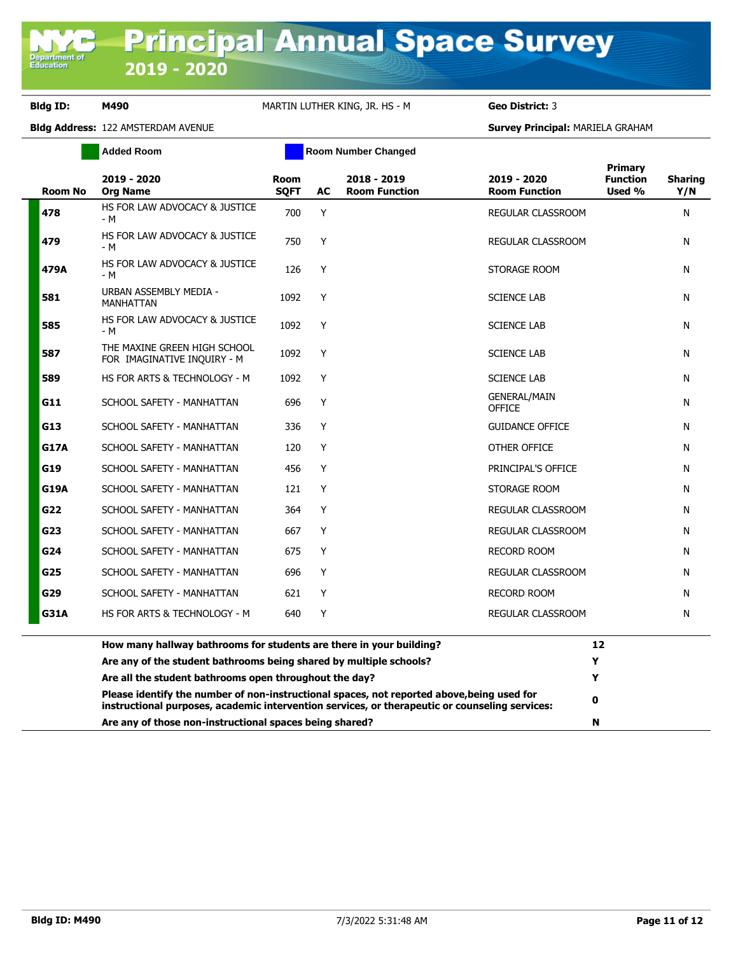**Department of**<br>Education

## **Bldg ID: M490** MARTIN LUTHER KING, JR. HS - M **Geo District:** 3

|                | <b>Added Room</b>                                                                                                                                                                            |                     |    | <b>Room Number Changed</b>          |                                      |                                      |                       |
|----------------|----------------------------------------------------------------------------------------------------------------------------------------------------------------------------------------------|---------------------|----|-------------------------------------|--------------------------------------|--------------------------------------|-----------------------|
| <b>Room No</b> | 2019 - 2020<br><b>Org Name</b>                                                                                                                                                               | Room<br><b>SQFT</b> | AC | 2018 - 2019<br><b>Room Function</b> | 2019 - 2020<br><b>Room Function</b>  | Primary<br><b>Function</b><br>Used % | <b>Sharing</b><br>Y/N |
| 478            | HS FOR LAW ADVOCACY & JUSTICE<br>- M                                                                                                                                                         | 700                 | Y  |                                     | REGULAR CLASSROOM                    |                                      | N                     |
| 479            | HS FOR LAW ADVOCACY & JUSTICE<br>- M                                                                                                                                                         | 750                 | Υ  |                                     | REGULAR CLASSROOM                    |                                      | N                     |
| 479A           | HS FOR LAW ADVOCACY & JUSTICE<br>- M                                                                                                                                                         | 126                 | Y  |                                     | STORAGE ROOM                         |                                      | N                     |
| 581            | URBAN ASSEMBLY MEDIA -<br><b>MANHATTAN</b>                                                                                                                                                   | 1092                | Y  |                                     | <b>SCIENCE LAB</b>                   |                                      | N                     |
| 585            | HS FOR LAW ADVOCACY & JUSTICE<br>- M                                                                                                                                                         | 1092                | Y  |                                     | <b>SCIENCE LAB</b>                   |                                      | N                     |
| 587            | THE MAXINE GREEN HIGH SCHOOL<br>FOR IMAGINATIVE INQUIRY - M                                                                                                                                  | 1092                | Y  |                                     | <b>SCIENCE LAB</b>                   |                                      | N                     |
| 589            | HS FOR ARTS & TECHNOLOGY - M                                                                                                                                                                 | 1092                | Y  |                                     | <b>SCIENCE LAB</b>                   |                                      | N                     |
| G11            | SCHOOL SAFETY - MANHATTAN                                                                                                                                                                    | 696                 | Y  |                                     | <b>GENERAL/MAIN</b><br><b>OFFICE</b> |                                      | N                     |
| G13            | SCHOOL SAFETY - MANHATTAN                                                                                                                                                                    | 336                 | Y  |                                     | <b>GUIDANCE OFFICE</b>               |                                      | N                     |
| G17A           | SCHOOL SAFETY - MANHATTAN                                                                                                                                                                    | 120                 | Y  |                                     | OTHER OFFICE                         |                                      | N                     |
| G19            | SCHOOL SAFETY - MANHATTAN                                                                                                                                                                    | 456                 | Y  |                                     | PRINCIPAL'S OFFICE                   |                                      | N                     |
| G19A           | SCHOOL SAFETY - MANHATTAN                                                                                                                                                                    | 121                 | Y  |                                     | STORAGE ROOM                         |                                      | N                     |
| G22            | SCHOOL SAFETY - MANHATTAN                                                                                                                                                                    | 364                 | Y  |                                     | REGULAR CLASSROOM                    |                                      | N                     |
| G23            | SCHOOL SAFETY - MANHATTAN                                                                                                                                                                    | 667                 | Y  |                                     | REGULAR CLASSROOM                    |                                      | N                     |
| G24            | SCHOOL SAFETY - MANHATTAN                                                                                                                                                                    | 675                 | Y  |                                     | <b>RECORD ROOM</b>                   |                                      | N                     |
| G25            | SCHOOL SAFETY - MANHATTAN                                                                                                                                                                    | 696                 | Y  |                                     | REGULAR CLASSROOM                    |                                      | N                     |
| G29            | SCHOOL SAFETY - MANHATTAN                                                                                                                                                                    | 621                 | Y  |                                     | RECORD ROOM                          |                                      | N                     |
| G31A           | HS FOR ARTS & TECHNOLOGY - M                                                                                                                                                                 | 640                 | Y  |                                     | REGULAR CLASSROOM                    |                                      | N                     |
|                | How many hallway bathrooms for students are there in your building?                                                                                                                          |                     |    |                                     |                                      | 12                                   |                       |
|                | Are any of the student bathrooms being shared by multiple schools?                                                                                                                           |                     |    |                                     | Y                                    |                                      |                       |
|                | Are all the student bathrooms open throughout the day?                                                                                                                                       |                     |    |                                     | Y                                    |                                      |                       |
|                | Please identify the number of non-instructional spaces, not reported above, being used for<br>instructional purposes, academic intervention services, or therapeutic or counseling services: |                     |    |                                     | 0                                    |                                      |                       |
|                | Are any of those non-instructional spaces being shared?                                                                                                                                      |                     |    |                                     | N                                    |                                      |                       |